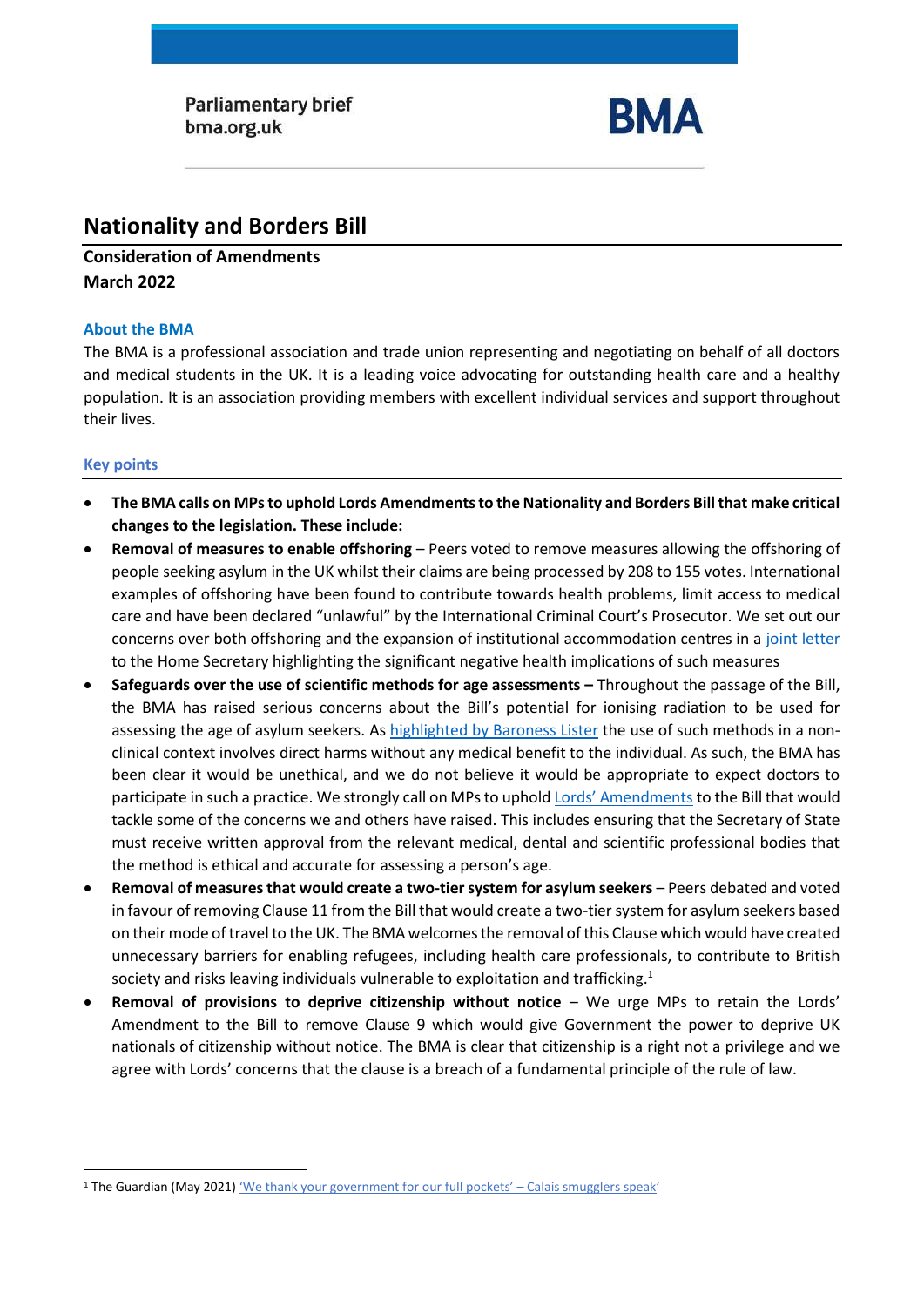**Parliamentary brief** bma.org.uk



# **Nationality and Borders Bill**

**Consideration of Amendments March 2022**

#### **About the BMA**

The BMA is a professional association and trade union representing and negotiating on behalf of all doctors and medical students in the UK. It is a leading voice advocating for outstanding health care and a healthy population. It is an association providing members with excellent individual services and support throughout their lives.

# **Key points**

- **The BMA calls on MPs to uphold Lords Amendments to the Nationality and Borders Bill that make critical changes to the legislation. These include:**
- **Removal of measures to enable offshoring** Peers voted to remove measures allowing the offshoring of people seeking asylum in the UK whilst their claims are being processed by 208 to 155 votes. International examples of offshoring have been found to contribute towards health problems, limit access to medical care and have been declared "unlawful" by the International Criminal Court's Prosecutor. We set out our concerns over both offshoring and the expansion of institutional accommodation centres in a [joint letter](https://msf.org.uk/article/joint-letter-concerns-about-health-implications-nationality-and-borders-bill) to the Home Secretary highlighting the significant negative health implications of such measures
- **Safeguards over the use of scientific methods for age assessments –** Throughout the passage of the Bill, the BMA has raised serious concerns about the Bill's potential for ionising radiation to be used for assessing the age of asylum seekers. As [highlighted by Baroness Lister](https://hansard.parliament.uk/lords/2022-03-08/debates/20397778-861E-4D27-B358-53B067DE72A3/NationalityAndBordersBill#contribution-0D2DDBB9-8427-4911-814C-92ABE45CDF03) the use of such methods in a nonclinical context involves direct harms without any medical benefit to the individual. As such, the BMA has been clear it would be unethical, and we do not believe it would be appropriate to expect doctors to participate in such a practice. We strongly call on MPs to uphold [Lords' Amendments](https://hansard.parliament.uk/lords/2022-03-08/debates/20397778-861E-4D27-B358-53B067DE72A3/NationalityAndBordersBill#contribution-B23C724E-9A16-4096-9452-D160A1A6D55B) to the Bill that would tackle some of the concerns we and others have raised. This includes ensuring that the Secretary of State must receive written approval from the relevant medical, dental and scientific professional bodies that the method is ethical and accurate for assessing a person's age.
- **Removal of measuresthat would create a two-tier system for asylum seekers** Peers debated and voted in favour of removing Clause 11 from the Bill that would create a two-tier system for asylum seekers based on their mode of travel to the UK. The BMA welcomes the removal of this Clause which would have created unnecessary barriers for enabling refugees, including health care professionals, to contribute to British society and risks leaving individuals vulnerable to exploitation and trafficking.<sup>1</sup>
- **Removal of provisions to deprive citizenship without notice** We urge MPs to retain the Lords' Amendment to the Bill to remove Clause 9 which would give Government the power to deprive UK nationals of citizenship without notice. The BMA is clear that citizenship is a right not a privilege and we agree with Lords' concerns that the clause is a breach of a fundamental principle of the rule of law.

<sup>&</sup>lt;sup>1</sup> The Guardian (May 2021) 'We thank your government for our full pockets' - Calais smugglers speak'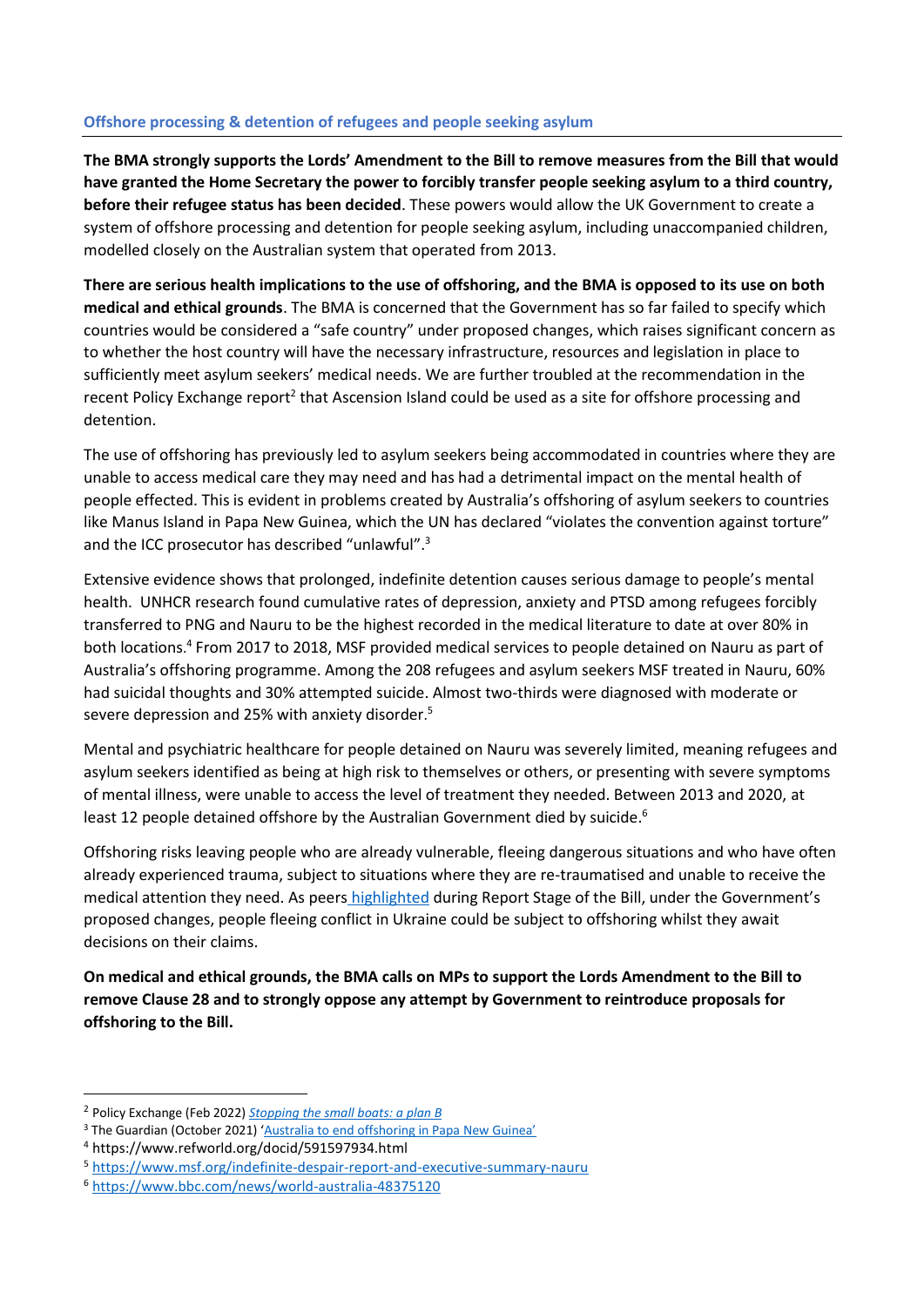### **Offshore processing & detention of refugees and people seeking asylum**

**The BMA strongly supports the Lords' Amendment to the Bill to remove measures from the Bill that would have granted the Home Secretary the power to forcibly transfer people seeking asylum to a third country, before their refugee status has been decided**. These powers would allow the UK Government to create a system of offshore processing and detention for people seeking asylum, including unaccompanied children, modelled closely on the Australian system that operated from 2013.

**There are serious health implications to the use of offshoring, and the BMA is opposed to its use on both medical and ethical grounds**. The BMA is concerned that the Government has so far failed to specify which countries would be considered a "safe country" under proposed changes, which raises significant concern as to whether the host country will have the necessary infrastructure, resources and legislation in place to sufficiently meet asylum seekers' medical needs. We are further troubled at the recommendation in the recent Policy Exchange report<sup>2</sup> that Ascension Island could be used as a site for offshore processing and detention.

The use of offshoring has previously led to asylum seekers being accommodated in countries where they are unable to access medical care they may need and has had a detrimental impact on the mental health of people effected. This is evident in problems created by Australia's offshoring of asylum seekers to countries like Manus Island in Papa New Guinea, which the UN has declared "violates the convention against torture" and the ICC prosecutor has described "unlawful".<sup>3</sup>

Extensive evidence shows that prolonged, indefinite detention causes serious damage to people's mental health. UNHCR research found cumulative rates of depression, anxiety and PTSD among refugees forcibly transferred to PNG and Nauru to be the highest recorded in the medical literature to date at over 80% in both locations. 4 From 2017 to 2018, MSF provided medical services to people detained on Nauru as part of Australia's offshoring programme. Among the 208 refugees and asylum seekers MSF treated in Nauru, 60% had suicidal thoughts and 30% attempted suicide. Almost two-thirds were diagnosed with moderate or severe depression and 25% with anxiety disorder.<sup>5</sup>

Mental and psychiatric healthcare for people detained on Nauru was severely limited, meaning refugees and asylum seekers identified as being at high risk to themselves or others, or presenting with severe symptoms of mental illness, were unable to access the level of treatment they needed. Between 2013 and 2020, at least 12 people detained offshore by the Australian Government died by suicide.<sup>6</sup>

Offshoring risks leaving people who are already vulnerable, fleeing dangerous situations and who have often already experienced trauma, subject to situations where they are re-traumatised and unable to receive the medical attention they need. As peers [highlighted](https://hansard.parliament.uk/lords/2022-03-02/debates/BF355885-5180-4040-B7CD-6C36B060C6FB/NationalityAndBordersBill#contribution-6A7E4E4E-94CD-4261-AF88-AFCF4C621940) during Report Stage of the Bill, under the Government's proposed changes, people fleeing conflict in Ukraine could be subject to offshoring whilst they await decisions on their claims.

**On medical and ethical grounds, the BMA calls on MPs to support the Lords Amendment to the Bill to remove Clause 28 and to strongly oppose any attempt by Government to reintroduce proposals for offshoring to the Bill.** 

<sup>2</sup> Policy Exchange (Feb 2022) *[Stopping the small boats: a plan B](https://policyexchange.org.uk/publication/stopping-the-small-boats-a-plan-b/)*

<sup>&</sup>lt;sup>3</sup> The Guardian (October 2021) ['Australia to end offshoring in Papa New Guinea'](https://www.theguardian.com/australia-news/2021/oct/06/australia-to-end-offshore-processing-in-papua-new-guinea)

<sup>4</sup> https://www.refworld.org/docid/591597934.html

<sup>5</sup> <https://www.msf.org/indefinite-despair-report-and-executive-summary-nauru>

<sup>6</sup> <https://www.bbc.com/news/world-australia-48375120>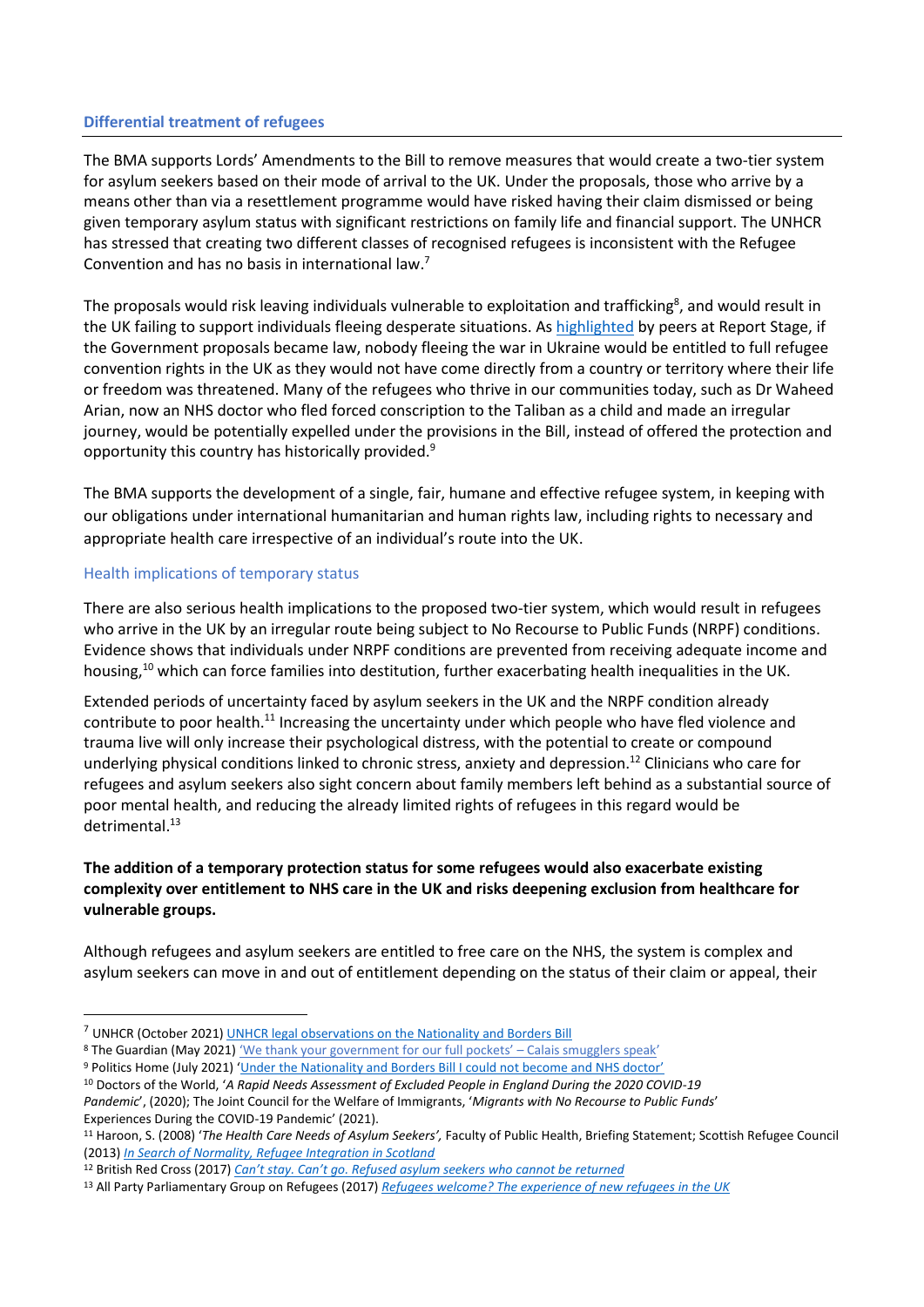#### **Differential treatment of refugees**

The BMA supports Lords' Amendments to the Bill to remove measures that would create a two-tier system for asylum seekers based on their mode of arrival to the UK. Under the proposals, those who arrive by a means other than via a resettlement programme would have risked having their claim dismissed or being given temporary asylum status with significant restrictions on family life and financial support. The UNHCR has stressed that creating two different classes of recognised refugees is inconsistent with the Refugee Convention and has no basis in international law.<sup>7</sup>

The proposals would risk leaving individuals vulnerable to exploitation and trafficking<sup>8</sup>, and would result in the UK failing to support individuals fleeing desperate situations. A[s highlighted](https://hansard.parliament.uk/lords/2022-02-28/debates/DB808D67-CC61-45F1-8D46-B14B42CBB2E9/NationalityAndBordersBill#contribution-C58BAD51-D37C-4DEB-9376-02C2F0E6E669) by peers at Report Stage, if the Government proposals became law, nobody fleeing the war in Ukraine would be entitled to full refugee convention rights in the UK as they would not have come directly from a country or territory where their life or freedom was threatened. Many of the refugees who thrive in our communities today, such as Dr Waheed Arian, now an NHS doctor who fled forced conscription to the Taliban as a child and made an irregular journey, would be potentially expelled under the provisions in the Bill, instead of offered the protection and opportunity this country has historically provided.<sup>9</sup>

The BMA supports the development of a single, fair, humane and effective refugee system, in keeping with our obligations under international humanitarian and human rights law, including rights to necessary and appropriate health care irrespective of an individual's route into the UK.

#### Health implications of temporary status

There are also serious health implications to the proposed two-tier system, which would result in refugees who arrive in the UK by an irregular route being subject to No Recourse to Public Funds (NRPF) conditions. Evidence shows that individuals under NRPF conditions are prevented from receiving adequate income and housing,<sup>10</sup> which can force families into destitution, further exacerbating health inequalities in the UK.

Extended periods of uncertainty faced by asylum seekers in the UK and the NRPF condition already contribute to poor health.<sup>11</sup> Increasing the uncertainty under which people who have fled violence and trauma live will only increase their psychological distress, with the potential to create or compound underlying physical conditions linked to chronic stress, anxiety and depression.<sup>12</sup> Clinicians who care for refugees and asylum seekers also sight concern about family members left behind as a substantial source of poor mental health, and reducing the already limited rights of refugees in this regard would be detrimental.<sup>13</sup>

# **The addition of a temporary protection status for some refugees would also exacerbate existing complexity over entitlement to NHS care in the UK and risks deepening exclusion from healthcare for vulnerable groups.**

Although refugees and asylum seekers are entitled to free care on the NHS, the system is complex and asylum seekers can move in and out of entitlement depending on the status of their claim or appeal, their

<sup>&</sup>lt;sup>7</sup> UNHCR (October 2021[\) UNHCR legal observations on the Nationality and Borders Bill](https://www.unhcr.org/publications/legal/615ff04d4/unhcr-legal-observations-nationality-and-borders-bill-oct-2021.html)

<sup>8</sup> The Guardian (May 2021) ['We thank your government for our full pockets' –](https://www.theguardian.com/global-development/2021/may/10/calais-smuggler-gangs-channel-migrants-uk-security?CMP=Share_AndroidApp_Other) Calais smugglers speak'

<sup>9</sup> Politics Home (July 2021) ['Under the Nationality and Borders Bill I could not become and NHS doctor'](https://www.politicshome.com/thehouse/article/under-the-nationality-and-borders-bill-i-could-not-become-an-nhs-doctor)

<sup>10</sup> Doctors of the World, '*A Rapid Needs Assessment of Excluded People in England During the 2020 COVID-19 Pandemic*', (2020); The Joint Council for the Welfare of Immigrants, '*Migrants with No Recourse to Public Funds*' Experiences During the COVID-19 Pandemic' (2021).

<sup>11</sup> Haroon, S. (2008) '*The Health Care Needs of Asylum Seekers',* Faculty of Public Health, Briefing Statement; Scottish Refugee Council (2013) *[In Search of Normality, Refugee Integration in Scotland](https://www.scottishrefugeecouncil.org.uk/wp-content/uploads/2019/10/In-search-of-normality-Refugee-Integration-in-Scotland-PDF.pdf)*

<sup>12</sup> British Red Cross (2017) *[Can't stay. Can't go. Refused asylum seekers who cannot be returned](https://www.redcross.org.uk/-/media/documents/about-us/research-publications/refugee-support/cant-stay-cant-go-webready.pdf)*

<sup>13</sup> All Party Parliamentary Group on Refugees (2017) *[Refugees welcome? The experience of new refugees in the UK](https://refugeecouncil.org.uk/wp-content/uploads/2019/03/APPG_on_Refugees_-_Refugees_Welcome_report.pdf)*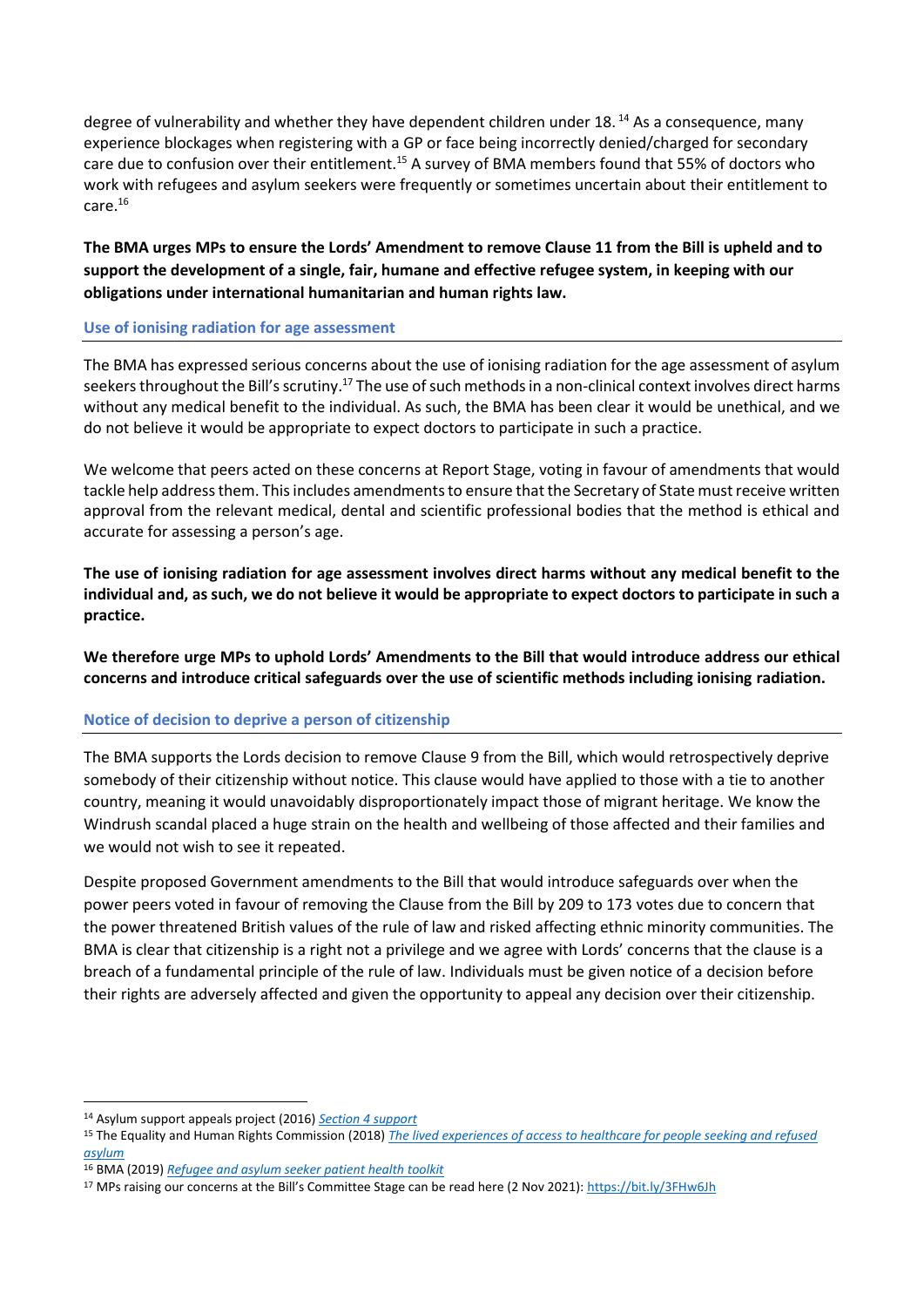degree of vulnerability and whether they have dependent children under 18.<sup>14</sup> As a consequence, many experience blockages when registering with a GP or face being incorrectly denied/charged for secondary care due to confusion over their entitlement.<sup>15</sup> A survey of BMA members found that 55% of doctors who work with refugees and asylum seekers were frequently or sometimes uncertain about their entitlement to care.<sup>16</sup>

# **The BMA urges MPs to ensure the Lords' Amendment to remove Clause 11 from the Bill is upheld and to support the development of a single, fair, humane and effective refugee system, in keeping with our obligations under international humanitarian and human rights law.**

#### **Use of ionising radiation for age assessment**

The BMA has expressed serious concerns about the use of ionising radiation for the age assessment of asylum seekers throughout the Bill's scrutiny.<sup>17</sup> The use of such methods in a non-clinical context involves direct harms without any medical benefit to the individual. As such, the BMA has been clear it would be unethical, and we do not believe it would be appropriate to expect doctors to participate in such a practice.

We welcome that peers acted on these concerns at Report Stage, voting in favour of amendments that would tackle help address them. This includes amendments to ensure that the Secretary of State must receive written approval from the relevant medical, dental and scientific professional bodies that the method is ethical and accurate for assessing a person's age.

**The use of ionising radiation for age assessment involves direct harms without any medical benefit to the individual and, as such, we do not believe it would be appropriate to expect doctors to participate in such a practice.**

**We therefore urge MPs to uphold Lords' Amendments to the Bill that would introduce address our ethical concerns and introduce critical safeguards over the use of scientific methods including ionising radiation.**

# **Notice of decision to deprive a person of citizenship**

The BMA supports the Lords decision to remove Clause 9 from the Bill, which would retrospectively deprive somebody of their citizenship without notice. This clause would have applied to those with a tie to another country, meaning it would unavoidably disproportionately impact those of migrant heritage. We know the Windrush scandal placed a huge strain on the health and wellbeing of those affected and their families and we would not wish to see it repeated.

Despite proposed Government amendments to the Bill that would introduce safeguards over when the power peers voted in favour of removing the Clause from the Bill by 209 to 173 votes due to concern that the power threatened British values of the rule of law and risked affecting ethnic minority communities. The BMA is clear that citizenship is a right not a privilege and we agree with Lords' concerns that the clause is a breach of a fundamental principle of the rule of law. Individuals must be given notice of a decision before their rights are adversely affected and given the opportunity to appeal any decision over their citizenship.

*[asylum](https://www.equalityhumanrights.com/sites/default/files/research-report-122-people-seeking-asylum-access-to-healthcare-lived-experiences.pdf)*

<sup>14</sup> Asylum support appeals project (2016) *[Section 4 support](https://www.asaproject.org/uploads/Factsheet-2-section-4-support.pdf)*

<sup>15</sup> The Equality and Human Rights Commission (2018) *[The lived experiences of access to healthcare for people seeking and refused](https://www.equalityhumanrights.com/sites/default/files/research-report-122-people-seeking-asylum-access-to-healthcare-lived-experiences.pdf)* 

<sup>16</sup> BMA (2019) *[Refugee and asylum seeker patient health toolkit](https://www.bma.org.uk/advice-and-support/ethics/refugees-overseas-visitors-and-vulnerable-migrants/refugee-and-asylum-seeker-patient-health-toolkit/overcoming-barriers-to-refugees-and-asylum-seekers-accessing-care)*

<sup>&</sup>lt;sup>17</sup> MPs raising our concerns at the Bill's Committee Stage can be read here (2 Nov 2021): <https://bit.ly/3FHw6Jh>